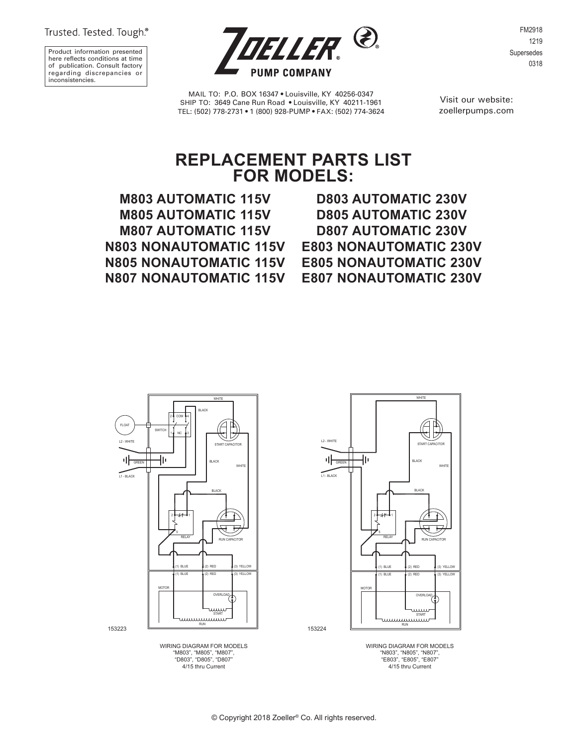Trusted. Tested. Tough.®

Product information presented here reflects conditions at time of publication. Consult factory regarding discrepancies or inconsistencies.



FM2918 1219 Supersedes 0318

MAIL TO: P.O. BOX 16347 • Louisville, KY 40256-0347 SHIP TO: 3649 Cane Run Road • Louisville, KY 40211-1961 TEL: (502) 778-2731 • 1 (800) 928-PUMP • FAX: (502) 774-3624

Visit our website: zoellerpumps.com

## **REPLACEMENT PARTS LIST FOR MODELS:**

**M803 AUTOMATIC 115V M805 AUTOMATIC 115V M807 AUTOMATIC 115V N803 NONAUTOMATIC 115V N805 NONAUTOMATIC 115V N807 NONAUTOMATIC 115V**

**D803 AUTOMATIC 230V D805 AUTOMATIC 230V D807 AUTOMATIC 230V E803 NONAUTOMATIC 230V E805 NONAUTOMATIC 230V E807 NONAUTOMATIC 230V**



WIRING DIAGRAM FOR MODELS "M803", "M805", "M807", "D803", "D805", "D807" 4/15 thru Current



WIRING DIAGRAM FOR MODELS "N803", "N805", "N807", "E803", "E805", "E807" 4/15 thru Current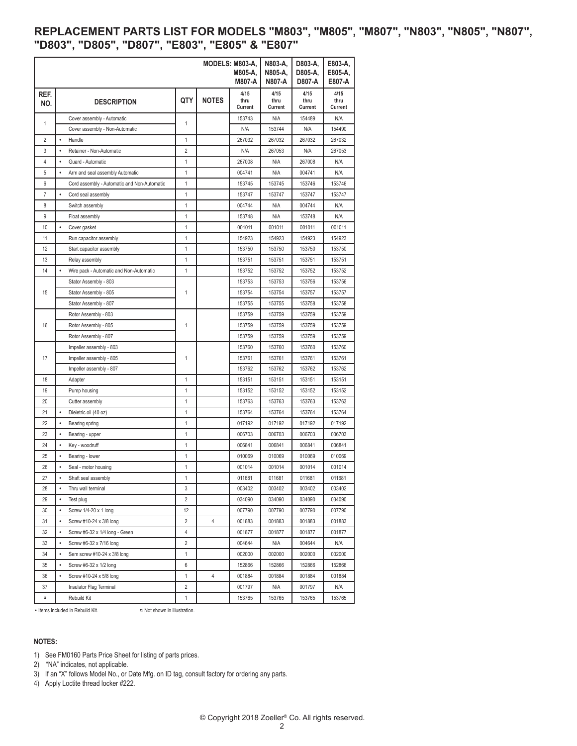## **REPLACEMENT PARTS LIST FOR MODELS "M803", "M805", "M807", "N803", "N805", "N807", "D803", "D805", "D807", "E803", "E805" & "E807"**

|                  |                                                      |     |              | MODELS: M803-A,<br>M805-A.<br><b>M807-A</b> | N803-A,<br>N805-A,<br>N807-A | D803-A,<br>D805-A,<br>D807-A | E803-A,<br>E805-A,<br>E807-A |
|------------------|------------------------------------------------------|-----|--------------|---------------------------------------------|------------------------------|------------------------------|------------------------------|
| REF.<br>NO.      | <b>DESCRIPTION</b>                                   | QTY | <b>NOTES</b> | 4/15<br>thru                                | 4/15<br>thru                 | 4/15<br>thru                 | 4/15<br>thru                 |
|                  |                                                      |     |              | Current                                     | Current                      | Current                      | Current                      |
| 1                | Cover assembly - Automatic                           | 1   |              | 153743                                      | N/A                          | 154489                       | N/A                          |
|                  | Cover assembly - Non-Automatic                       |     |              | N/A                                         | 153744                       | N/A                          | 154490                       |
| $\overline{2}$   | $\bullet$<br>Handle                                  | 1   |              | 267032                                      | 267032                       | 267032                       | 267032                       |
| 3                | Retainer - Non-Automatic<br>$\bullet$                | 2   |              | N/A                                         | 267053                       | N/A                          | 267053                       |
| 4                | Guard - Automatic                                    | 1   |              | 267008                                      | N/A                          | 267008                       | N/A                          |
| 5                | Arm and seal assembly Automatic                      | 1   |              | 004741                                      | N/A                          | 004741                       | N/A                          |
| 6                | Cord assembly - Automatic and Non-Automatic          | 1   |              | 153745                                      | 153745                       | 153746                       | 153746                       |
| $\boldsymbol{7}$ | $\bullet$<br>Cord seal assembly                      | 1   |              | 153747                                      | 153747                       | 153747                       | 153747                       |
| 8                | Switch assembly                                      | 1   |              | 004744                                      | N/A                          | 004744                       | N/A                          |
| 9                | Float assembly                                       | 1   |              | 153748                                      | N/A                          | 153748                       | N/A                          |
| 10               | ٠<br>Cover gasket                                    | 1   |              | 001011                                      | 001011                       | 001011                       | 001011                       |
| 11               | Run capacitor assembly                               | 1   |              | 154923                                      | 154923                       | 154923                       | 154923                       |
| 12               | Start capacitor assembly                             | 1   |              | 153750                                      | 153750                       | 153750                       | 153750                       |
| 13               | Relay assembly                                       | 1   |              | 153751                                      | 153751                       | 153751                       | 153751                       |
| 14               | $\bullet$<br>Wire pack - Automatic and Non-Automatic | 1   |              | 153752                                      | 153752                       | 153752                       | 153752                       |
| 15               | Stator Assembly - 803                                |     |              | 153753                                      | 153753                       | 153756                       | 153756                       |
|                  | Stator Assembly - 805                                | 1   |              | 153754                                      | 153754                       | 153757                       | 153757                       |
|                  | Stator Assembly - 807                                |     |              | 153755                                      | 153755                       | 153758                       | 153758                       |
| 16               | Rotor Assembly - 803                                 |     |              | 153759                                      | 153759                       | 153759                       | 153759                       |
|                  | Rotor Assembly - 805                                 | 1   |              | 153759                                      | 153759                       | 153759                       | 153759                       |
|                  | Rotor Assembly - 807                                 |     |              | 153759                                      | 153759                       | 153759                       | 153759                       |
| 17               | Impeller assembly - 803                              |     |              | 153760                                      | 153760                       | 153760                       | 153760                       |
|                  | Impeller assembly - 805                              | 1   |              | 153761                                      | 153761                       | 153761                       | 153761                       |
|                  | Impeller assembly - 807                              |     |              | 153762                                      | 153762                       | 153762                       | 153762                       |
| 18               | Adapter                                              | 1   |              | 153151                                      | 153151                       | 153151                       | 153151                       |
| 19               | Pump housing                                         | 1   |              | 153152                                      | 153152                       | 153152                       | 153152                       |
| 20               | Cutter assembly                                      | 1   |              | 153763                                      | 153763                       | 153763                       | 153763                       |
| 21               | ٠<br>Dieletric oil (40 oz)                           | 1   |              | 153764                                      | 153764                       | 153764                       | 153764                       |
| 22               | ٠<br>Bearing spring                                  | 1   |              | 017192                                      | 017192                       | 017192                       | 017192                       |
| 23               | ٠<br>Bearing - upper                                 | 1   |              | 006703                                      | 006703                       | 006703                       | 006703                       |
| 24               | ٠<br>Key - woodruff                                  | 1   |              | 006841                                      | 006841                       | 006841                       | 006841                       |
| 25               | Bearing - lower<br>$\bullet$                         | 1   |              | 010069                                      | 010069                       | 010069                       | 010069                       |
| 26               | Seal - motor housing                                 | 1   |              | 001014                                      | 001014                       | 001014                       | 001014                       |
| 27               | Shaft seal assembly                                  | 1   |              | 011681                                      | 011681                       | 011681                       | 011681                       |
| 28               | Thru wall terminal<br>٠                              | 3   |              | 003402                                      | 003402                       | 003402                       | 003402                       |
| 29               | ٠<br>Test plug                                       | 2   |              | 034090                                      | 034090                       | 034090                       | 034090                       |
| 30               | Screw 1/4-20 x 1 long<br>٠                           | 12  |              | 007790                                      | 007790                       | 007790                       | 007790                       |
| 31               | ٠<br>Screw #10-24 x 3/8 long                         | 2   | 4            | 001883                                      | 001883                       | 001883                       | 001883                       |
| 32               | Screw #6-32 x 1/4 long - Green<br>٠                  | 4   |              | 001877                                      | 001877                       | 001877                       | 001877                       |
| 33               | Screw #6-32 x 7/16 long<br>٠                         | 2   |              | 004644                                      | N/A                          | 004644                       | N/A                          |
| 34               | ٠<br>Sem screw #10-24 x 3/8 long                     | 1   |              | 002000                                      | 002000                       | 002000                       | 002000                       |
| 35               | Screw #6-32 x 1/2 long<br>٠                          | 6   |              | 152866                                      | 152866                       | 152866                       | 152866                       |
| 36               | Screw #10-24 x 5/8 long<br>٠                         | 1   | 4            | 001884                                      | 001884                       | 001884                       | 001884                       |
| 37               | Insulator Flag Terminal                              | 2   |              | 001797                                      | N/A                          | 001797                       | N/A                          |
| α                | Rebuild Kit                                          | 1   |              | 153765                                      | 153765                       | 153765                       | 153765                       |

• Items included in Rebuild Kit. <br> **x** Not shown in illustration.

## **NOTES:**

1) See FM0160 Parts Price Sheet for listing of parts prices.

2) "NA" indicates, not applicable.

3) If an "X" follows Model No., or Date Mfg. on ID tag, consult factory for ordering any parts.

4) Apply Loctite thread locker #222.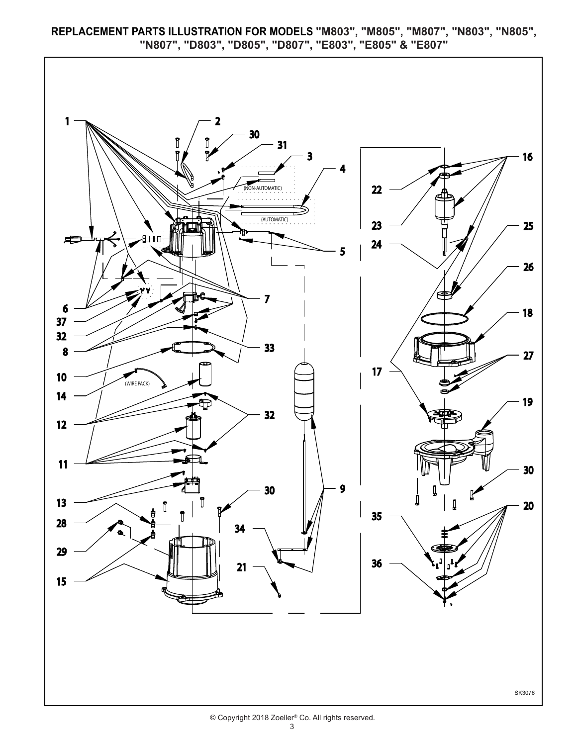**REPLACEMENT PARTS ILLUSTRATION FOR MODELS "M803", "M805", "M807", "N803", "N805", "N807", "D803", "D805", "D807", "E803", "E805" & "E807"**